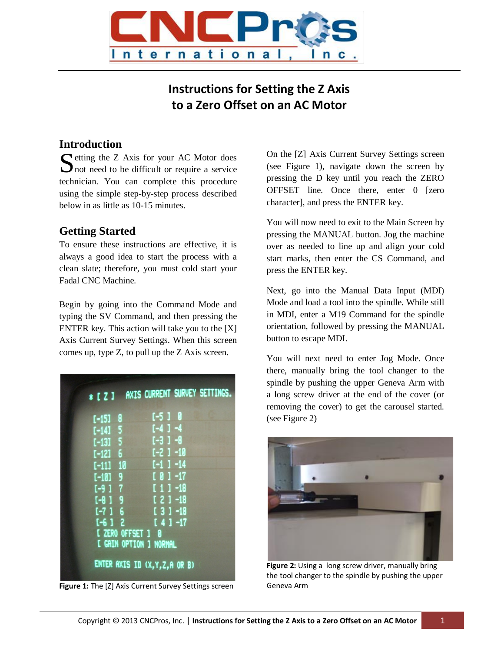

# **Instructions for Setting the Z Axis to a Zero Offset on an AC Motor**

#### **Introduction**

**C** etting the Z Axis for your AC Motor does Setting the Z Axis for your AC Motor does<br>
not need to be difficult or require a service technician. You can complete this procedure using the simple step-by-step process described below in as little as 10-15 minutes.

## **Getting Started**

To ensure these instructions are effective, it is always a good idea to start the process with a clean slate; therefore, you must cold start your Fadal CNC Machine.

Begin by going into the Command Mode and typing the SV Command, and then pressing the ENTER key. This action will take you to the [X] Axis Current Survey Settings. When this screen comes up, type Z, to pull up the Z Axis screen.

| $*$ [ $21$ |                   |                                 | AXIS CURRENT SURVEY SETTINGS. |
|------------|-------------------|---------------------------------|-------------------------------|
|            |                   |                                 |                               |
| $[-15]$    | 8                 | $[-510$                         |                               |
| $[-14]$    | - 5               | $[-4]$ $-4$                     |                               |
| $[-13] 5$  |                   | $[-3] -8$                       |                               |
| $[-12]$    | - 6               | $[-2] - 10$                     |                               |
| $[-11]$ 10 |                   | $[-1] -14$                      |                               |
| $[-10]$ 9  |                   | $[01 - 17]$                     |                               |
| $[-917]$   |                   | $[11 - 18]$                     |                               |
| $[-8]$     | -9                | $121 - 18$                      |                               |
| $[-716]$   |                   | $[3] - 18$                      |                               |
| $[-612]$   |                   | $[4] -17$                       |                               |
|            |                   |                                 |                               |
|            | [ ZERO OFFSET ] 0 |                                 |                               |
|            |                   | <b>I GAIN OPTION 1 NORMAL</b>   |                               |
|            |                   | ENTER AXIS ID (X, Y, Z, A OR B) |                               |

**Figure 1:** The [Z] Axis Current Survey Settings screen

On the [Z] Axis Current Survey Settings screen (see Figure 1), navigate down the screen by pressing the D key until you reach the ZERO OFFSET line. Once there, enter 0 [zero character], and press the ENTER key.

You will now need to exit to the Main Screen by pressing the MANUAL button. Jog the machine over as needed to line up and align your cold start marks, then enter the CS Command, and press the ENTER key.

Next, go into the Manual Data Input (MDI) Mode and load a tool into the spindle. While still in MDI, enter a M19 Command for the spindle orientation, followed by pressing the MANUAL button to escape MDI.

You will next need to enter Jog Mode. Once there, manually bring the tool changer to the spindle by pushing the upper Geneva Arm with a long screw driver at the end of the cover (or removing the cover) to get the carousel started. (see Figure 2)



**Figure 2:** Using a long screw driver, manually bring the tool changer to the spindle by pushing the upper Geneva Arm